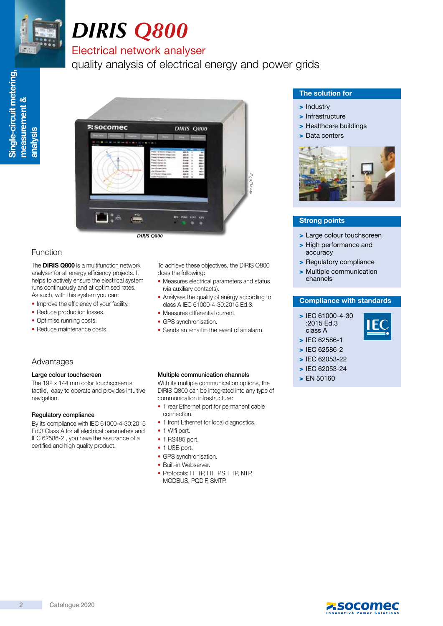

Single-circuit metering,

Single-circuit metering,

measurement &

measurement &

analysis

# *DIRIS Q800*

# Electrical network analyser

quality analysis of electrical energy and power grids



*DIRIS Q800*

# Function

The **DIRIS Q800** is a multifunction network analyser for all energy efficiency projects. It helps to actively ensure the electrical system runs continuously and at optimised rates. As such, with this system you can:

- Improve the efficiency of your facility.
- Reduce production losses.
- Optimise running costs.

Large colour touchscreen

Regulatory compliance

certified and high quality product.

The 192 x 144 mm color touchscreen is tactile, easy to operate and provides intuitive

By its compliance with IEC 61000-4-30:2015 Ed.3 Class A for all electrical parameters and IEC 62586-2 , you have the assurance of a

Advantages

navigation.

• Reduce maintenance costs.

To achieve these objectives, the DIRIS Q800 does the following:

diris-q\_012\_a

- Measures electrical parameters and status (via auxiliary contacts).
- Analyses the quality of energy according to class A IEC 61000-4-30:2015 Ed.3.
- Measures differential current.
- GPS synchronisation.
- Sends an email in the event of an alarm.

# Multiple communication channels

With its multiple communication options, the DIRIS Q800 can be integrated into any type of communication infrastructure:

- 1 rear Ethernet port for permanent cable connection.
- 1 front Ethernet for local diagnostics.
- 1 Wifi port.
- 1 RS485 port.
- 1 USB port.
- GPS synchronisation.
- Built-in Webserver.
- Protocols: HTTP, HTTPS, FTP, NTP, MODBUS, PQDIF, SMTP.

# The solution for

- > Industry
- > Infrastructure
- > Healthcare buildings
- > Data centers



# Strong points

- > Large colour touchscreen
- > High performance and accuracy
- > Regulatory compliance
- > Multiple communication channels

# Compliance with standards

> IEC 61000-4-30 :2015 Ed.3 class A



- > IEC 62586-2
- > IEC 62053-22

> IEC 62586-1

- > IEC 62053-24
- > EN 50160
- 

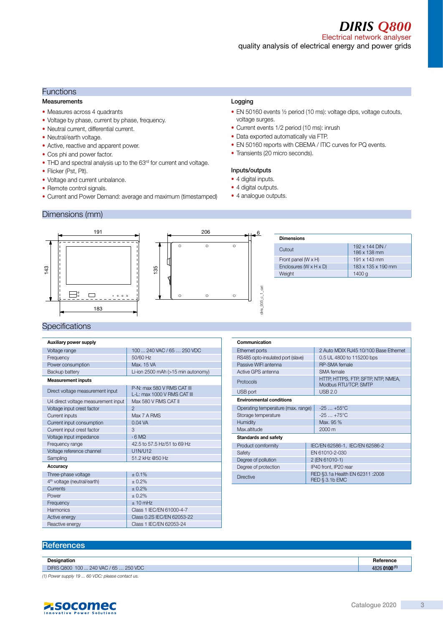*DIRIS Q800*

Electrical network analyser quality analysis of electrical energy and power grids

# **Functions**

#### Measurements

- Measures across 4 quadrants
- Voltage by phase, current by phase, frequency.
- Neutral current, differential current.
- Neutral/earth voltage.
- Active, reactive and apparent power.
- Cos phi and power factor.
- THD and spectral analysis up to the 63rd for current and voltage.
- Flicker (Pst, Plt).
- Voltage and current unbalance.
- Remote control signals.
- Current and Power Demand: average and maximum (timestamped)

# Logging

- EN 50160 events ½ period (10 ms): voltage dips, voltage cutouts, voltage surges.
- Current events 1/2 period (10 ms): inrush
- Data exported automatically via FTP.
- EN 50160 reports with CBEMA / ITIC curves for PQ events.
- Transients (20 micro seconds).

# Inputs/outputs

- 4 digital inputs.
- 4 digital outputs.
- 4 analogue outputs.

# Dimensions (mm)



# **Specifications**

| Auxiliary power supply                  |                                                           |  |
|-----------------------------------------|-----------------------------------------------------------|--|
| Voltage range                           | 100  240 VAC / 65  250 VDC                                |  |
| Frequency                               | 50/60 Hz                                                  |  |
| Power consumption                       | Max. 15 VA                                                |  |
| Backup battery                          | Li-ion 2500 mAh (>15 min autonomy)                        |  |
| <b>Measurement inputs</b>               |                                                           |  |
| Direct voltage measurement input        | P-N: max 580 V RMS CAT III<br>L-L: max 1000 V RMS CAT III |  |
| U4 direct voltage measurement input     | Max 580 V RMS CAT II                                      |  |
| Voltage input crest factor              | $\mathfrak{D}$                                            |  |
| Current inputs                          | Max 7 A RMS                                               |  |
| Current input consumption               | $0.04$ VA                                                 |  |
| Current input crest factor              | 3                                                         |  |
| Voltage input impedance                 | $6$ MO                                                    |  |
| Frequency range                         | 42.5 to 57.5 Hz/51 to 69 Hz                               |  |
| Voltage reference channel               | U1N/U12                                                   |  |
| Sampling                                | 51.2 kHz @50 Hz                                           |  |
| Accuracy                                |                                                           |  |
| Three-phase voltage                     | ± 0.1%                                                    |  |
| 4 <sup>th</sup> voltage (neutral/earth) | ± 0.2%                                                    |  |
| Currents                                | ± 0.2%                                                    |  |
| Power                                   | ± 0.2%                                                    |  |
| Frequency                               | ± 10 mHz                                                  |  |
| Harmonics                               | Class 1 IEC/EN 61000-4-7                                  |  |
| Active energy                           | Class 0.2S IEC/EN 62053-22                                |  |
| Reactive energy                         | Class 1 IEC/EN 62053-24                                   |  |

| Communication                      |                                                            |  |  |
|------------------------------------|------------------------------------------------------------|--|--|
| Ethernet ports                     | 2 Auto MDIX RJ45 10/100 Base Ethernet                      |  |  |
| RS485 opto-insulated port (slave)  | 0.5 UL 4800 to 115200 bps                                  |  |  |
| Passive WIFI antenna               | RP-SMA female                                              |  |  |
| Active GPS antenna                 | SMA female                                                 |  |  |
| Protocols                          | HTTP, HTTPS, FTP, SFTP, NTP, NMEA,<br>Modbus RTU/TCP, SMTP |  |  |
| USB port                           | <b>USB 2.0</b>                                             |  |  |
| <b>Environmental conditions</b>    |                                                            |  |  |
| Operating temperature (max. range) | $-25+55^{\circ}C$                                          |  |  |
| Storage temperature                | $-25+75^{\circ}C$                                          |  |  |
| Humidity                           | Max. 95 %                                                  |  |  |
| Max.altitude                       | 2000 m                                                     |  |  |
| Standards and safety               |                                                            |  |  |
| Product comformity                 | IEC/EN 62586-1, IEC/EN 62586-2                             |  |  |
| Safety                             | EN 61010-2-030                                             |  |  |
| Degree of pollution                | 2 (EN 61010-1)                                             |  |  |
| Degree of protection               | IP40 front, IP20 rear                                      |  |  |
| <b>Directive</b>                   | RED §3.1a Health EN 62311 :2008<br><b>RED § 3.1b EMC</b>   |  |  |

# **References**

| Designation                                       | Reference    |
|---------------------------------------------------|--------------|
| DIRIS Q800 100  240 VAC / 65  250 VDC             | 4826 0100(1) |
| $(1)$ Dougraving $(10 - 50)/D$ contact $(10 - 5)$ |              |



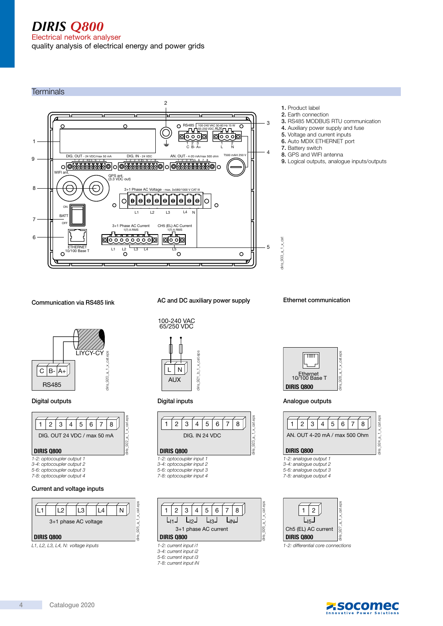# *DIRIS Q800* Electrical network analyser quality analysis of electrical energy and power grids

2 1. Product label 2. Earth connection 3  $\epsilon$  $\circ$ RS485 100-240 VAC 50-60 Hz 15 W  $\overline{\Omega}$ 4. Auxiliary power supply and fuse 65-250 VDC AUX 5. Voltage and current inputs 同文文回 00000 6. Auto MDIX ETHERNET port 1 1 2 3 1 2<br>C B-A+ L N 1 2 7. Battery switch C B- A+ 4 8. GPS and WIFI antenna  $DIG. IN - 24 VDC$  AN. OUT 250 DIG. OUT 9 1 2 3 4 5 6 7 8 1 2 3 4 5 6 7 8 1 2 3 4 5 6 7 8 ெ WIFI ant.<br>
GPS ant.<br>
(3.3 VDC out) 8  $\subseteq$ 3+1 Phase AC Voltage - max. 3x580/1000 V CAT III  $\overline{C}$  $\Theta$  $\ddot{\mathbf{e}}$ Ιe le  $\bullet$ Ιe  $\Theta$ le ۱ə Ω  $\circ$ ON L1 L2 L3 L4 N **BAT** 7 OFF CH5 (EL) AC Current 3+1 Phase AC Current 1(7) A RMS 1(7) A RMS 6 ∣⊠ठै ैं)न diris\_933\_a\_ $1 \times$ cat diris\_933\_a\_1\_x\_cat 5 ETHERNET 10/100 Base T L1 L2  $\frac{1}{\sqrt{3}}$  L4 L5 O  $\circ$ 

# Communication via RS485 link



# Digital outputs

**Terminals** 



5-6: optocoupler output 3 7-8: optocoupler output 4

# Current and voltage inputs



L1, L2, L3, L4, N: voltage inputs

# AC and DC auxiliary power supply





# DIRIS Q800

- 1-2: optocoupler input 1
- 3-4: optocoupler input 2 5-6: optocoupler input 3
- 7-8: optocoupler input 4

5-6: current input i3 7-8: current input iN



- 3. RS485 MODBUS RTU communication
- 
- 
- 9. Logical outputs, analogue inputs/outputs

Ethernet communication



# Digital inputs **Analogue outputs** Analogue outputs



diris $924$  a 1  $\times$  cat.eps

iris

924\_a\_1\_x\_cat.eps

#### DIRIS Q800

- 1-2: analogue output 1
- 3-4: analogue output 2
- 5-6: analogue output 3 7-8: analogue output 4
- 



1-2: differential core connections